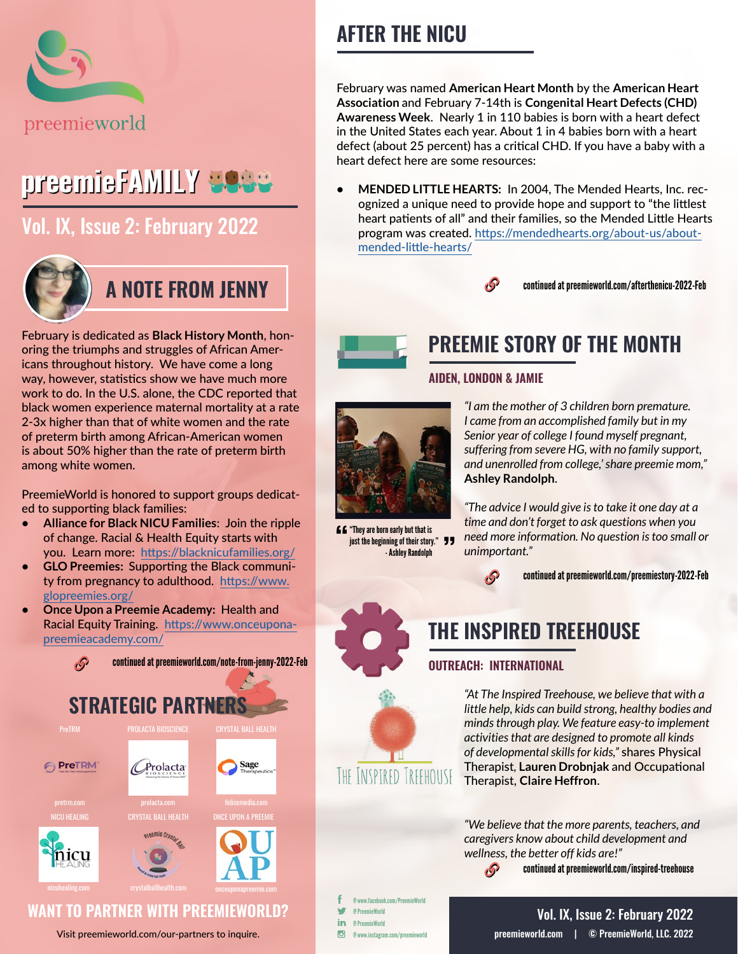

# preemieFAMILY **3988**

## [Vol. IX, Issue 2: February 2022](https://preemieworld.com/preemie-family-digital-issues/)



February is dedicated as **Black History Month**, honoring the triumphs and struggles of African Americans throughout history. We have come a long way, however, statistics show we have much more work to do. In the U.S. alone, the CDC reported that black women experience maternal mortality at a rate 2-3x higher than that of white women and the rate of preterm birth among African-American women is about 50% higher than the rate of preterm birth among white women.

PreemieWorld is honored to support groups dedicated to supporting black families:

- **• Alliance for Black NICU Families**: Join the ripple of change. Racial & Health Equity starts with you. Learn more: [https://blacknicufamilies.org/](https://blacknicufamilies.org/ )
- **• GLO Preemies:** Supporting the Black community from pregnancy to adulthood. [https://www.](https://www.glopreemies.org/ ) [glopreemies.org/](https://www.glopreemies.org/ )
- **• Once Upon a Preemie Academy:** Health and Racial Equity Training. [https://www.onceupona](https://www.onceuponapreemieacademy.com/ )[preemieacademy.com/](https://www.onceuponapreemieacademy.com/ )



### Visit [preemieworld.com/our-partners](https://preemieworld.com/our-partners) to inquire.

# **AFTER THE NICU**

February was named **American Heart Month** by the **American Heart Association** and February 7-14th is **Congenital Heart Defects (CHD) Awareness Week**. Nearly 1 in 110 babies is born with a heart defect in the United States each year. About 1 in 4 babies born with a heart defect (about 25 percent) has a critical CHD. If you have a baby with a heart defect here are some resources:

**• MENDED LITTLE HEARTS:** In 2004, The Mended Hearts, Inc. recognized a unique need to provide hope and support to "the littlest heart patients of all" and their families, so the Mended Little Hearts program was created. [https://mendedhearts.org/about-us/about](https://mendedhearts.org/about-us/about-mended-little-hearts/ )[mended-little-hearts/](https://mendedhearts.org/about-us/about-mended-little-hearts/ )



continued a[t preemieworld.com/afterthenicu-2022-F](https://preemieworld.com/afterthenicu-2022-Feb )eb



## **PREEMIE STORY OF THE MONTH**

**AIDEN, LONDON & JAMIE**



 $f f$  "They are born early but that is just the beginning of their story." **JJ** - Ashley Randolph

*"I am the mother of 3 children born premature. I came from an accomplished family but in my Senior year of college I found myself pregnant, suffering from severe HG, with no family support, and unenrolled from college,' share preemie mom,"* **Ashley Randolph**.

*"The advice I would give is to take it one day at a time and don't forget to ask questions when you need more information. No question is too small or unimportant."* 



continued at [preemieworld.com/preemiestory-2022-F](https://preemieworld.com/preemiestory-2022-Feb)eb





**THE INSPIRED TREEHOUSE**

## **OUTREACH: INTERNATIONAL**

 $\mathcal{S}$ 

*"At The Inspired Treehouse, we believe that with a little help, kids can build strong, healthy bodies and minds through play. We feature easy-to implement activities that are designed to promote all kinds of developmental skills for kids,"* shares Physical Therapist*,* **Lauren Drobnjak** and Occupational Therapist, **Claire Heffron**.

*"We believe that the more parents, teachers, and caregivers know about child development and wellness, the better off kids are!"*

continued at [preemieworld.com/i](https://preemieworld.com/inspired-treehouse)nspired-treehouse

@ www.facebook.com/PreemieWorld w @ PreemieWorld in @ PreemieWorld @ www.instagram.com/preemieworld

## [preemieworld.com](https://preemieworld.com) | © PreemieWorld, LLC. 2022 Vol. IX, Issue 2: February 2022